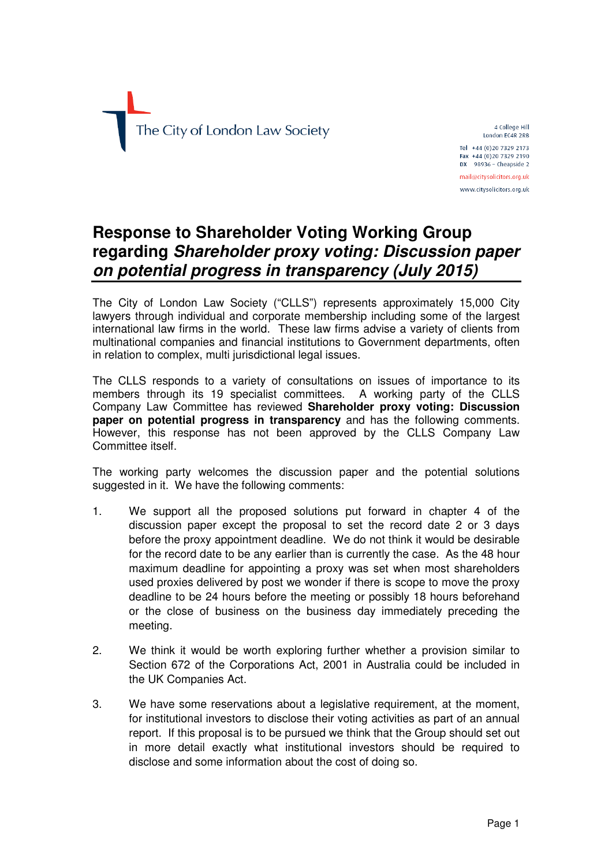

4 College Hill London EC4R 2RB Tel +44 (0)20 7329 2173 Fax +44 (0)20 7329 2190  $DX$  98936 - Cheapside 2 mail@citysolicitors.org.uk www.citysolicitors.org.uk

**Response to Shareholder Voting Working Group regarding Shareholder proxy voting: Discussion paper on potential progress in transparency (July 2015)**

The City of London Law Society ("CLLS") represents approximately 15,000 City lawyers through individual and corporate membership including some of the largest international law firms in the world. These law firms advise a variety of clients from multinational companies and financial institutions to Government departments, often in relation to complex, multi jurisdictional legal issues.

The CLLS responds to a variety of consultations on issues of importance to its members through its 19 specialist committees. A working party of the CLLS Company Law Committee has reviewed **Shareholder proxy voting: Discussion paper on potential progress in transparency** and has the following comments. However, this response has not been approved by the CLLS Company Law Committee itself.

The working party welcomes the discussion paper and the potential solutions suggested in it. We have the following comments:

- 1. We support all the proposed solutions put forward in chapter 4 of the discussion paper except the proposal to set the record date 2 or 3 days before the proxy appointment deadline. We do not think it would be desirable for the record date to be any earlier than is currently the case. As the 48 hour maximum deadline for appointing a proxy was set when most shareholders used proxies delivered by post we wonder if there is scope to move the proxy deadline to be 24 hours before the meeting or possibly 18 hours beforehand or the close of business on the business day immediately preceding the meeting.
- 2. We think it would be worth exploring further whether a provision similar to Section 672 of the Corporations Act, 2001 in Australia could be included in the UK Companies Act.
- 3. We have some reservations about a legislative requirement, at the moment, for institutional investors to disclose their voting activities as part of an annual report. If this proposal is to be pursued we think that the Group should set out in more detail exactly what institutional investors should be required to disclose and some information about the cost of doing so.